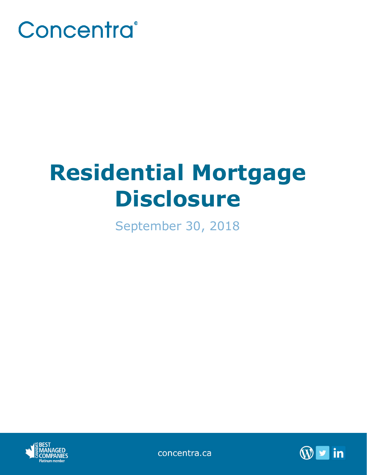

# **Residential Mortgage Disclosure**

September 30, 2018



concentra.ca

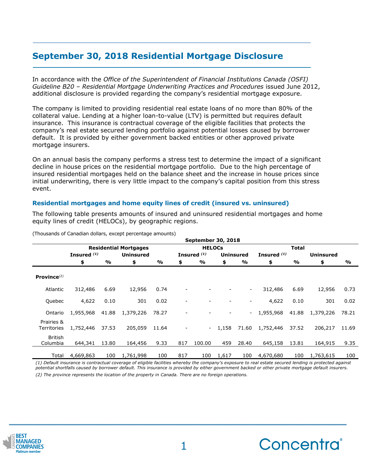# **September 30, 2018 Residential Mortgage Disclosure**

In accordance with the *Office of the Superintendent of Financial Institutions Canada (OSFI) Guideline B20 – Residential Mortgage Underwriting Practices and Procedures* issued June 2012, additional disclosure is provided regarding the company's residential mortgage exposure.

The company is limited to providing residential real estate loans of no more than 80% of the collateral value. Lending at a higher loan-to-value (LTV) is permitted but requires default insurance. This insurance is contractual coverage of the eligible facilities that protects the company's real estate secured lending portfolio against potential losses caused by borrower default. It is provided by either government backed entities or other approved private mortgage insurers.

On an annual basis the company performs a stress test to determine the impact of a significant decline in house prices on the residential mortgage portfolio. Due to the high percentage of insured residential mortgages held on the balance sheet and the increase in house prices since initial underwriting, there is very little impact to the company's capital position from this stress event.

## **Residential mortgages and home equity lines of credit (insured vs. uninsured)**

The following table presents amounts of insured and uninsured residential mortgages and home equity lines of credit (HELOCs), by geographic regions.

|                            | <b>September 30, 2018</b>    |       |                  |       |               |                          |       |                  |               |               |                  |               |
|----------------------------|------------------------------|-------|------------------|-------|---------------|--------------------------|-------|------------------|---------------|---------------|------------------|---------------|
|                            | <b>Residential Mortgages</b> |       |                  |       | <b>HELOCs</b> |                          |       |                  | Total         |               |                  |               |
|                            | Insured <sup>(1)</sup>       |       | <b>Uninsured</b> |       |               | Insured <sup>(1)</sup>   |       | <b>Uninsured</b> | Insured $(1)$ |               | <b>Uninsured</b> |               |
|                            | \$                           | %     | \$               | %     | \$            | $\frac{9}{6}$            | \$    | %                | \$            | $\frac{0}{0}$ | \$               | $\frac{0}{0}$ |
| Province $^{(2)}$          |                              |       |                  |       |               |                          |       |                  |               |               |                  |               |
| Atlantic                   | 312,486                      | 6.69  | 12,956           | 0.74  |               |                          |       | ۰.               | 312,486       | 6.69          | 12,956           | 0.73          |
| Quebec                     | 4,622                        | 0.10  | 301              | 0.02  |               |                          |       |                  | 4,622         | 0.10          | 301              | 0.02          |
| Ontario                    | 1,955,968                    | 41.88 | 1,379,226        | 78.27 |               |                          |       |                  | 1,955,968     | 41.88         | 1,379,226        | 78.21         |
| Prairies &<br>Territories  | 1,752,446                    | 37.53 | 205,059          | 11.64 |               | $\overline{\phantom{a}}$ | 1,158 | 71.60            | 1,752,446     | 37.52         | 206,217          | 11.69         |
| <b>British</b><br>Columbia | 644,341                      | 13.80 | 164,456          | 9.33  | 817           | 100.00                   | 459   | 28.40            | 645,158       | 13.81         | 164,915          | 9.35          |
| Total                      | 4,669,863                    | 100   | 1,761,998        | 100   | 817           | 100                      | 1,617 | 100              | 4,670,680     | 100           | 1,763,615        | 100           |

(Thousands of Canadian dollars, except percentage amounts)

*(1) Default insurance is contractual coverage of eligible facilities whereby the company's exposure to real estate secured lending is protected against potential shortfalls caused by borrower default. This insurance is provided by either government backed or other private mortgage default insurers. (2) The province represents the location of the property in Canada. There are no foreign operations.*



**\_\_\_\_\_\_\_\_\_\_\_\_\_\_\_\_\_\_\_\_\_\_\_\_\_\_\_\_\_\_\_\_\_\_\_\_\_\_\_\_\_\_\_\_**